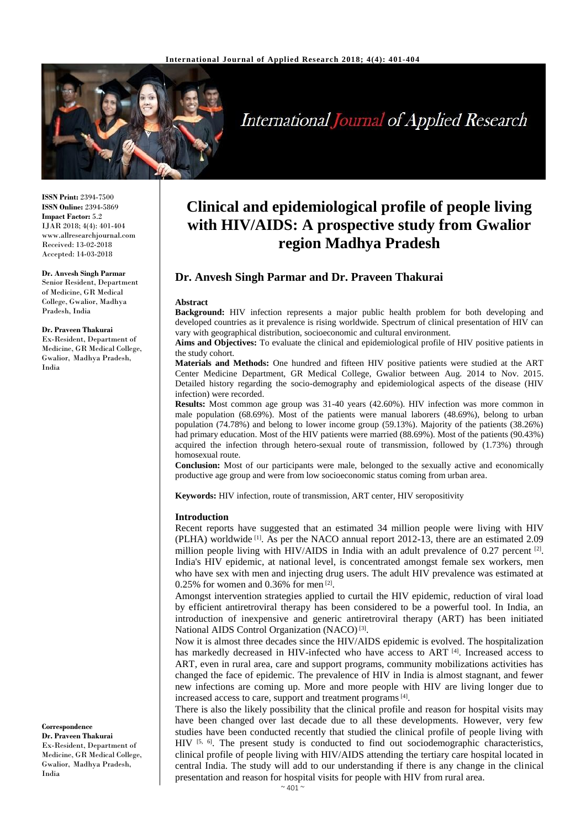

# **International Journal of Applied Research**

**ISSN Print:** 2394-7500 **ISSN Online:** 2394-5869 **Impact Factor:** 5.2 IJAR 2018; 4(4): 401-404 www.allresearchjournal.com Received: 13-02-2018 Accepted: 14-03-2018

## **Dr. Anvesh Singh Parmar**

Senior Resident, Department of Medicine, GR Medical College, Gwalior, Madhya Pradesh, India

#### **Dr. Praveen Thakurai**

Ex-Resident, Department of Medicine, GR Medical College, Gwalior, Madhya Pradesh, India

**Correspondence Dr. Praveen Thakurai** Ex-Resident, Department of Medicine, GR Medical College, Gwalior, Madhya Pradesh, India

## **Clinical and epidemiological profile of people living with HIV/AIDS: A prospective study from Gwalior region Madhya Pradesh**

### **Dr. Anvesh Singh Parmar and Dr. Praveen Thakurai**

#### **Abstract**

**Background:** HIV infection represents a major public health problem for both developing and developed countries as it prevalence is rising worldwide. Spectrum of clinical presentation of HIV can vary with geographical distribution, socioeconomic and cultural environment.

**Aims and Objectives:** To evaluate the clinical and epidemiological profile of HIV positive patients in the study cohort.

**Materials and Methods:** One hundred and fifteen HIV positive patients were studied at the ART Center Medicine Department, GR Medical College, Gwalior between Aug. 2014 to Nov. 2015. Detailed history regarding the socio-demography and epidemiological aspects of the disease (HIV infection) were recorded.

**Results:** Most common age group was 31-40 years (42.60%). HIV infection was more common in male population (68.69%). Most of the patients were manual laborers (48.69%), belong to urban population (74.78%) and belong to lower income group (59.13%). Majority of the patients (38.26%) had primary education. Most of the HIV patients were married (88.69%). Most of the patients (90.43%) acquired the infection through hetero-sexual route of transmission, followed by (1.73%) through homosexual route.

**Conclusion:** Most of our participants were male, belonged to the sexually active and economically productive age group and were from low socioeconomic status coming from urban area.

**Keywords:** HIV infection, route of transmission, ART center, HIV seropositivity

#### **Introduction**

Recent reports have suggested that an estimated 34 million people were living with HIV (PLHA) worldwide [1] . As per the NACO annual report 2012-13, there are an estimated 2.09 million people living with HIV/AIDS in India with an adult prevalence of 0.27 percent  $[2]$ . India's HIV epidemic, at national level, is concentrated amongst female sex workers, men who have sex with men and injecting drug users. The adult HIV prevalence was estimated at 0.25% for women and 0.36% for men [2] .

Amongst intervention strategies applied to curtail the HIV epidemic, reduction of viral load by efficient antiretroviral therapy has been considered to be a powerful tool. In India, an introduction of inexpensive and generic antiretroviral therapy (ART) has been initiated National AIDS Control Organization (NACO)<sup>[3]</sup>.

Now it is almost three decades since the HIV/AIDS epidemic is evolved. The hospitalization has markedly decreased in HIV-infected who have access to ART  $^{[4]}$ . Increased access to ART, even in rural area, care and support programs, community mobilizations activities has changed the face of epidemic. The prevalence of HIV in India is almost stagnant, and fewer new infections are coming up. More and more people with HIV are living longer due to increased access to care, support and treatment programs<sup>[4]</sup>.

There is also the likely possibility that the clinical profile and reason for hospital visits may have been changed over last decade due to all these developments. However, very few studies have been conducted recently that studied the clinical profile of people living with HIV  $[5, 6]$ . The present study is conducted to find out sociodemographic characteristics, clinical profile of people living with HIV/AIDS attending the tertiary care hospital located in central India. The study will add to our understanding if there is any change in the clinical presentation and reason for hospital visits for people with HIV from rural area.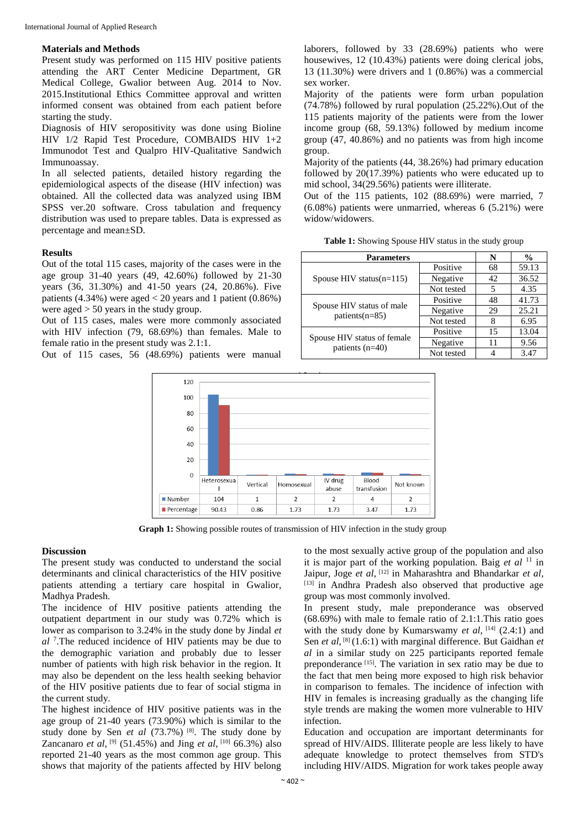#### **Materials and Methods**

Present study was performed on 115 HIV positive patients attending the ART Center Medicine Department, GR Medical College, Gwalior between Aug. 2014 to Nov. 2015.Institutional Ethics Committee approval and written informed consent was obtained from each patient before starting the study.

Diagnosis of HIV seropositivity was done using Bioline HIV 1/2 Rapid Test Procedure, COMBAIDS HIV 1+2 Immunodot Test and Qualpro HIV-Qualitative Sandwich Immunoassay.

In all selected patients, detailed history regarding the epidemiological aspects of the disease (HIV infection) was obtained. All the collected data was analyzed using IBM SPSS ver.20 software. Cross tabulation and frequency distribution was used to prepare tables. Data is expressed as percentage and mean±SD.

#### **Results**

Out of the total 115 cases, majority of the cases were in the age group 31-40 years (49, 42.60%) followed by 21-30 years (36, 31.30%) and 41-50 years (24, 20.86%). Five patients  $(4.34\%)$  were aged  $< 20$  years and 1 patient  $(0.86\%)$ were aged > 50 years in the study group.

Out of 115 cases, males were more commonly associated with HIV infection (79, 68.69%) than females. Male to female ratio in the present study was 2.1:1.

Out of 115 cases, 56 (48.69%) patients were manual

laborers, followed by 33 (28.69%) patients who were housewives, 12 (10.43%) patients were doing clerical jobs, 13 (11.30%) were drivers and 1 (0.86%) was a commercial sex worker.

Majority of the patients were form urban population (74.78%) followed by rural population (25.22%).Out of the 115 patients majority of the patients were from the lower income group (68, 59.13%) followed by medium income group (47, 40.86%) and no patients was from high income group.

Majority of the patients (44, 38.26%) had primary education followed by 20(17.39%) patients who were educated up to mid school, 34(29.56%) patients were illiterate.

Out of the 115 patients, 102 (88.69%) were married, 7  $(6.08\%)$  patients were unmarried, whereas  $6(5.21\%)$  were widow/widowers.

| Table 1: Showing Spouse HIV status in the study group |  |
|-------------------------------------------------------|--|
|-------------------------------------------------------|--|

| <b>Parameters</b>                                |            | N  | $\frac{0}{0}$ |
|--------------------------------------------------|------------|----|---------------|
| Spouse HIV status $(n=115)$                      | Positive   | 68 | 59.13         |
|                                                  | Negative   | 42 | 36.52         |
|                                                  | Not tested | 5  | 4.35          |
| Spouse HIV status of male<br>patients( $n=85$ )  | Positive   | 48 | 41.73         |
|                                                  | Negative   | 29 | 25.21         |
|                                                  | Not tested | 8  | 6.95          |
| Spouse HIV status of female<br>patients $(n=40)$ | Positive   | 15 | 13.04         |
|                                                  | Negative   | 11 | 9.56          |
|                                                  | Not tested |    | 3.47          |



**Graph 1:** Showing possible routes of transmission of HIV infection in the study group

#### **Discussion**

The present study was conducted to understand the social determinants and clinical characteristics of the HIV positive patients attending a tertiary care hospital in Gwalior, Madhya Pradesh.

The incidence of HIV positive patients attending the outpatient department in our study was 0.72% which is lower as comparison to 3.24% in the study done by Jindal *et al* <sup>7</sup> .The reduced incidence of HIV patients may be due to the demographic variation and probably due to lesser number of patients with high risk behavior in the region. It may also be dependent on the less health seeking behavior of the HIV positive patients due to fear of social stigma in the current study.

The highest incidence of HIV positive patients was in the age group of 21-40 years (73.90%) which is similar to the study done by Sen *et al* (73.7%) [8] . The study done by Zancanaro *et al*, <sup>[9]</sup> (51.45%) and Jing *et al*, <sup>[10]</sup> 66.3%) also reported 21-40 years as the most common age group. This shows that majority of the patients affected by HIV belong

to the most sexually active group of the population and also it is major part of the working population. Baig *et al* <sup>11</sup> in Jaipur, Joge *et al*, [12] in Maharashtra and Bhandarkar *et al*, [13] in Andhra Pradesh also observed that productive age group was most commonly involved.

In present study, male preponderance was observed (68.69%) with male to female ratio of 2.1:1.This ratio goes with the study done by Kumarswamy *et al*, <sup>[14]</sup> (2.4:1) and Sen *et al*, <sup>[8]</sup> (1.6:1) with marginal difference. But Gaidhan *et al* in a similar study on 225 participants reported female preponderance [15]. The variation in sex ratio may be due to the fact that men being more exposed to high risk behavior in comparison to females. The incidence of infection with HIV in females is increasing gradually as the changing life style trends are making the women more vulnerable to HIV infection.

Education and occupation are important determinants for spread of HIV/AIDS. Illiterate people are less likely to have adequate knowledge to protect themselves from STD's including HIV/AIDS. Migration for work takes people away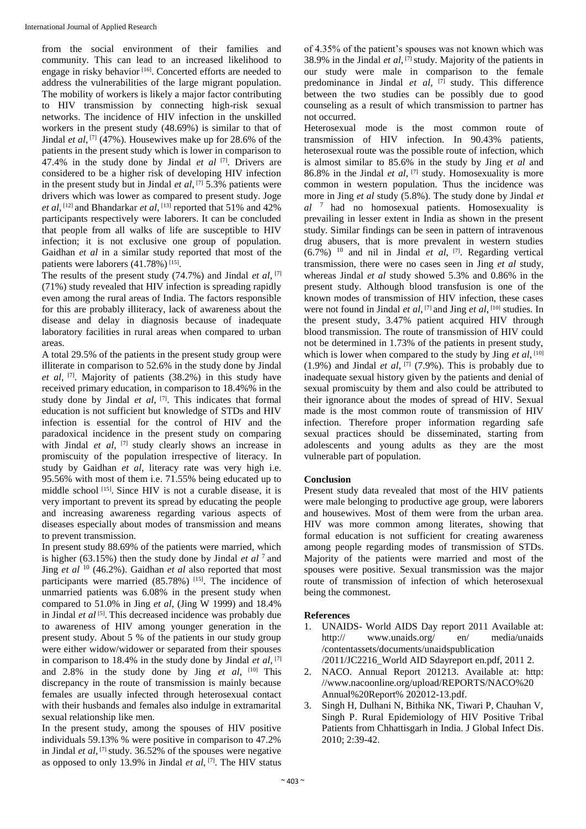from the social environment of their families and community. This can lead to an increased likelihood to engage in risky behavior<sup>[16]</sup>. Concerted efforts are needed to address the vulnerabilities of the large migrant population. The mobility of workers is likely a major factor contributing to HIV transmission by connecting high-risk sexual networks. The incidence of HIV infection in the unskilled workers in the present study (48.69%) is similar to that of Jindal *et al*, <sup>[7]</sup> (47%). Housewives make up for 28.6% of the patients in the present study which is lower in comparison to 47.4% in the study done by Jindal *et al* [7] . Drivers are considered to be a higher risk of developing HIV infection in the present study but in Jindal *et al*, [7] 5.3% patients were drivers which was lower as compared to present study. Joge *et al*, [12] and Bhandarkar *et al*, [13] reported that 51% and 42% participants respectively were laborers. It can be concluded that people from all walks of life are susceptible to HIV infection; it is not exclusive one group of population. Gaidhan *et al* in a similar study reported that most of the patients were laborers (41.78%)<sup>[15]</sup>.

The results of the present study (74.7%) and Jindal *et al*, [7] (71%) study revealed that HIV infection is spreading rapidly even among the rural areas of India. The factors responsible for this are probably illiteracy, lack of awareness about the disease and delay in diagnosis because of inadequate laboratory facilities in rural areas when compared to urban areas.

A total 29.5% of the patients in the present study group were illiterate in comparison to 52.6% in the study done by Jindal *et al*, [7] . Majority of patients (38.2%) in this study have received primary education, in comparison to 18.4%% in the study done by Jindal et al, <a>[7]</a>. This indicates that formal education is not sufficient but knowledge of STDs and HIV infection is essential for the control of HIV and the paradoxical incidence in the present study on comparing with Jindal *et al*, [7] study clearly shows an increase in promiscuity of the population irrespective of literacy. In study by Gaidhan *et al*, literacy rate was very high i.e. 95.56% with most of them i.e. 71.55% being educated up to middle school [15] . Since HIV is not a curable disease, it is very important to prevent its spread by educating the people and increasing awareness regarding various aspects of diseases especially about modes of transmission and means to prevent transmission.

In present study 88.69% of the patients were married, which is higher (63.15%) then the study done by Jindal *et al*  $^7$  and Jing *et al* <sup>10</sup> (46.2%). Gaidhan *et al* also reported that most participants were married (85.78%) [15]. The incidence of unmarried patients was 6.08% in the present study when compared to 51.0% in Jing *et al,* (Jing W 1999) and 18.4% in Jindal *et al* [5] . This decreased incidence was probably due to awareness of HIV among younger generation in the present study. About 5 % of the patients in our study group were either widow/widower or separated from their spouses in comparison to 18.4% in the study done by Jindal *et al*, [7] and 2.8% in the study done by Jing *et al*, [10] This discrepancy in the route of transmission is mainly because females are usually infected through heterosexual contact with their husbands and females also indulge in extramarital sexual relationship like men.

In the present study, among the spouses of HIV positive individuals 59.13% % were positive in comparison to 47.2% in Jindal *et al*, [7] study. 36.52% of the spouses were negative as opposed to only 13.9% in Jindal *et al*, [7] . The HIV status of 4.35% of the patient's spouses was not known which was 38.9% in the Jindal *et al*, [7] study. Majority of the patients in our study were male in comparison to the female predominance in Jindal *et al*, [7] study. This difference between the two studies can be possibly due to good counseling as a result of which transmission to partner has not occurred.

Heterosexual mode is the most common route of transmission of HIV infection. In 90.43% patients, heterosexual route was the possible route of infection, which is almost similar to 85.6% in the study by Jing *et al* and 86.8% in the Jindal *et al*, [7] study. Homosexuality is more common in western population. Thus the incidence was more in Jing *et al* study (5.8%). The study done by Jindal *et al* <sup>7</sup>had no homosexual patients. Homosexuality is prevailing in lesser extent in India as shown in the present study. Similar findings can be seen in pattern of intravenous drug abusers, that is more prevalent in western studies  $(6.7%)$ <sup>10</sup> and nil in Jindal *et al*, <sup>[7]</sup>. Regarding vertical transmission, there were no cases seen in Jing *et al* study, whereas Jindal *et al* study showed 5.3% and 0.86% in the present study. Although blood transfusion is one of the known modes of transmission of HIV infection, these cases were not found in Jindal *et al*, <sup>[7]</sup> and Jing *et al*, <sup>[10]</sup> studies. In the present study, 3.47% patient acquired HIV through blood transmission. The route of transmission of HIV could not be determined in 1.73% of the patients in present study, which is lower when compared to the study by Jing *et al*, <sup>[10]</sup>  $(1.9\%)$  and Jindal *et al*, <sup>[7]</sup> (7.9%). This is probably due to inadequate sexual history given by the patients and denial of sexual promiscuity by them and also could be attributed to their ignorance about the modes of spread of HIV. Sexual made is the most common route of transmission of HIV infection. Therefore proper information regarding safe sexual practices should be disseminated, starting from adolescents and young adults as they are the most vulnerable part of population.

#### **Conclusion**

Present study data revealed that most of the HIV patients were male belonging to productive age group, were laborers and housewives. Most of them were from the urban area. HIV was more common among literates, showing that formal education is not sufficient for creating awareness among people regarding modes of transmission of STDs. Majority of the patients were married and most of the spouses were positive. Sexual transmission was the major route of transmission of infection of which heterosexual being the commonest.

#### **References**

- 1. UNAIDS- World AIDS Day report 2011 Available at: http:// www.unaids.org/ en/ media/unaids /contentassets/documents/unaidspublication /2011/JC2216\_World AID Sdayreport en.pdf, 2011 2.
- 2. NACO. Annual Report 201213. Available at: http: //www.nacoonline.org/upload/REPORTS/NACO%20 Annual%20Report% 202012-13.pdf.
- 3. Singh H, Dulhani N, Bithika NK, Tiwari P, Chauhan V, Singh P. Rural Epidemiology of HIV Positive Tribal Patients from Chhattisgarh in India. J Global Infect Dis. 2010; 2:39-42.